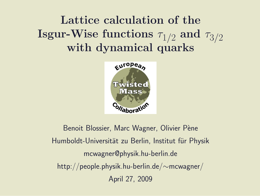# Lattice calculation of the  ${\bf I}$ sgur-Wise functions  $\tau_{1/2}$  and  $\tau_{3/2}$ with dynamical quarks



Benoit Blossier, Marc Wagner, Olivier Pène Humboldt-Universität zu Berlin, Institut für Physik mcwagner@physik.hu-berlin.de http://people.physik.hu-berlin.de/∼mcwagner/ April 27, 2009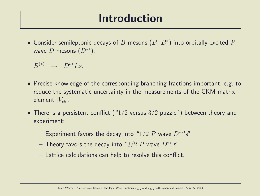#### Introduction

 $\bullet$  Consider semileptonic decays of  $B$  mesons  $(B,\,B^*)$  into orbitally excited  $P$ wave D mesons  $(D^{**})$ :

 $B^{(*)} \rightarrow D^{**} l \nu.$ 

- Precise knowledge of the corresponding branching fractions important, e.g. to reduce the systematic uncertainty in the measurements of the CKM matrix element  $|V_{cb}|$ .
- There is a persistent conflict (" $1/2$  versus  $3/2$  puzzle") between theory and experiment:
	- Experiment favors the decay into "1/2 P wave  $D^{**}$ 's".
	- Theory favors the decay into " $3/2$  P wave  $D^{**}$ 's".
	- Lattice calculations can help to resolve this conflict.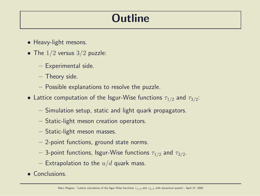# **Outline**

- Heavy-light mesons.
- The  $1/2$  versus  $3/2$  puzzle:
	- Experimental side.
	- Theory side.
	- Possible explanations to resolve the puzzle.
- $\bullet$  Lattice computation of the Isgur-Wise functions  $\tau_{1/2}$  and  $\tau_{3/2}$ :
	- Simulation setup, static and light quark propagators.
	- Static-light meson creation operators.
	- Static-light meson masses.
	- 2-point functions, ground state norms.
	- $-$  3-point functions, Isgur-Wise functions  $\tau_{1/2}$  and  $\tau_{3/2}.$
	- Extrapolation to the  $u/d$  quark mass.
- Conclusions.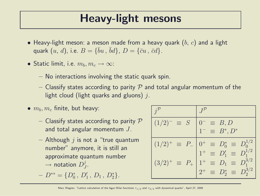# Heavy-light mesons

- Heavy-light meson: a meson made from a heavy quark  $(b, c)$  and a light quark  $(u, d)$ , i.e.  $B = \{\bar{b}u, \bar{b}d\}$ ,  $D = \{\bar{c}u, \bar{c}d\}$ .
- Static limit, i.e.  $m_b, m_c \rightarrow \infty$ :
	- No interactions involving the static quark spin.
	- Classify states according to parity  $P$  and total angular momentum of the light cloud (light quarks and gluons)  $j$ .
- $\bullet$   $m_b, m_c$  finite, but heavy:
	- Classify states according to parity  $P$ and total angular momentum J.
	- Although  $j$  is not a "true quantum number" anymore, it is still an approximate quantum number  $\rightarrow$  notation  $D_j^j$  $\frac{j}{J}$ .

$$
- D^{**} = \{D_0^*, D_1', D_1, D_2^*\}.
$$

| $(1/2)^{-}$<br>$\equiv S$              | $^{-} \equiv B, D$<br>$1^- \equiv B^*, D^*$                               |
|----------------------------------------|---------------------------------------------------------------------------|
| $(1/2)^{+}$<br>$\equiv$ P <sub>-</sub> | $0^+ \equiv D_0^* \equiv D_0^{1/2}$<br>$1^+ \equiv D_1' \equiv D_1^{1/2}$ |
| $(3/2)^{+}$<br>$\equiv$ $P_+$          | $1^+ \equiv D_1 \equiv D_1^{3/2}$                                         |
|                                        | $2^+ \equiv D_2^* \equiv D_2^{3/2}$                                       |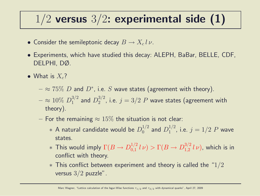# $1/2$  versus  $3/2$ : experimental side (1)

- Consider the semileptonic decay  $B \to X_c l \, \nu$ .
- Experiments, which have studied this decay: ALEPH, BaBar, BELLE, CDF, DELPHI, DØ.
- What is  $X_c$ ?
	- $\approx$   $75\%$   $D$  and  $D^*$ , i.e.  $S$  wave states (agreement with theory).
	- $\approx 10\% \ D_1^{3/2}$  $_1^{3/2}$  and  $D_2^{3/2}$  $2^{3/2}$ , i.e.  $j = 3/2$   $P$  wave states (agreement with theory).
	- For the remaining  $\approx 15\%$  the situation is not clear:
		- $\;\ast$  A natural candidate would be  $D_0^{1/2}$  $_0^{1/2}$  and  $D_1^{1/2}$  $j^{1/2}$ , i.e.  $j = 1/2$   $P$  wave states.
		- $*$  This would imply  $\Gamma(B \to D^{1/2}_{0,1})$  $\int_{0,1}^{1/2} l \nu$   $> \Gamma(B \to D_{1,2}^{3/2})$  $_{1,2}^{3/2}$   $l\nu$ ), which is in conflict with theory.
		- $*$  This conflict between experiment and theory is called the "1/2 versus  $3/2$  puzzle".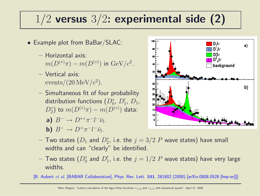# $1/2$  versus  $3/2$ : experimental side (2)

- Example plot from BaBar/SLAC:
	- Horizontal axis:  $m(D^{(*)}\pi) - m(D^{(*)})$  in  ${\rm GeV}/c^2$ .
	- Vertical axis:  $\frac{\text{events}}{20 \,\text{MeV}}/c^2$ .
	- Simultaneous fit of four probability distribution functions  $(D_0^*,\ D_1',\ D_1,$  $(D_2^*)$  to  $m(D^{(*)}\pi) - m(D^{(*)})$  data:

a) 
$$
B^- \to D^{*+}\pi^-l^-\bar{\nu}_l.
$$

**b)**  $B^- \to D^+ \pi^- l^- \bar{\nu}_l$ .



- $-$  Two states  $(D_1$  and  $D_2^\ast$ , i.e. the  $j=3/2$   $P$  wave states) have small widths and can "clearly" be identified.
- $-$  Two states  $(D_0^{\ast}% )^{\ast}$  and  $D_1^{\prime}$  , i.e. the  $j=1/2$   $P$  wave states) have very large widths.

[B. Aubert et al. [BABAR Collaboration], Phys. Rev. Lett. 101, 261802 (2008) [arXiv:0808.0528 [hep-ex]]]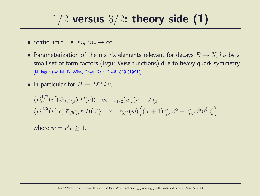### $1/2$  versus  $3/2$ : theory side (1)

- Static limit, i.e.  $m_b, m_c \rightarrow \infty$ .
- Parameterization of the matrix elements relevant for decays  $B \to X_c l \, \nu$  by a small set of form factors (Isgur-Wise functions) due to heavy quark symmetry. [N. Isgur and M. B. Wise, Phys. Rev. D 43, 819 (1991)]
- In particular for  $B \to D^{**} l \nu$ ,

$$
\langle D_0^{1/2}(v')|\bar{c}\gamma_5\gamma_\mu b|B(v)\rangle \propto \tau_{1/2}(w)(v-v')_\mu
$$
  

$$
\langle D_2^{3/2}(v',\epsilon)|\bar{c}\gamma_5\gamma_\mu b|B(v)\rangle \propto \tau_{3/2}(w)\Big((w+1)\epsilon^*_{\mu\alpha}v^\alpha-\epsilon^*_{\alpha\beta}v^\alpha v^\beta v'_\nu\Big).
$$

where  $w = v'v \geq 1$ .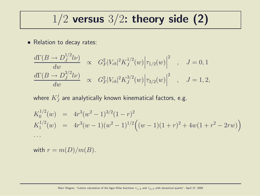### $1/2$  versus  $3/2$ : theory side (2)

• Relation to decay rates:

$$
\frac{d\Gamma(B \to D_J^{1/2} l\nu)}{dw} \propto G_F^2 |V_{cb}|^2 K_J^{1/2}(w) |\tau_{1/2}(w)|^2 , \quad J = 0, 1
$$
  

$$
\frac{d\Gamma(B \to D_J^{3/2} l\nu)}{dw} \propto G_F^2 |V_{cb}|^2 K_J^{3/2}(w) |\tau_{3/2}(w)|^2 , \quad J = 1, 2,
$$

where  $K^j_J$  $_J^{\mathcal{J}}$  are analytically known kinematical factors, e.g.

$$
K_0^{1/2}(w) = 4r^3(w^2 - 1)^{3/2}(1 - r)^2
$$
  
\n
$$
K_1^{1/2}(w) = 4r^3(w - 1)(w^2 - 1)^{1/2}((w - 1)(1 + r)^2 + 4w(1 + r^2 - 2rw))
$$
  
\n...

with  $r = m(D)/m(B)$ .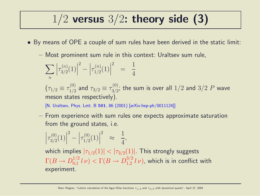# $1/2$  versus  $3/2$ : theory side (3)

- By means of OPE a couple of sum rules have been derived in the static limit:
	- Most prominent sum rule in this context: Uraltsev sum rule,

$$
\sum_{n} \left| \tau_{3/2}^{(n)}(1) \right|^2 - \left| \tau_{1/2}^{(n)}(1) \right|^2 = \frac{1}{4}
$$

 $(\tau_{1/2} \equiv \tau_{1/2}^{(0)}$  $\frac{1}{1/2}$  and  $\tau_{3/2} \equiv \tau_{3/2}^{(0)}$  $\frac{100}{3/2};$  the sum is over all  $1/2$  and  $3/2$   $P$  wave meson states respectively).

[N. Uraltsev, Phys. Lett. B 501, 86 (2001) [arXiv:hep-ph/0011124]]

– From experience with sum rules one expects approximate saturation from the ground states, i.e.

$$
\left|\tau_{3/2}^{(0)}(1)\right|^2 - \left|\tau_{1/2}^{(0)}(1)\right|^2 \approx \frac{1}{4},
$$

which implies  $|\tau_{1/2}(1)| < |\tau_{3/2}(1)|$ . This strongly suggests  $\Gamma(B \to D^{1/2}_{0,1}$  $\int_{0,1}^{1/2} l \nu$   $> \Gamma(B \to D_{1,2}^{3/2})$  $_{1,2}^{3/2}$   $l$   $\nu$ ), which is in conflict with experiment.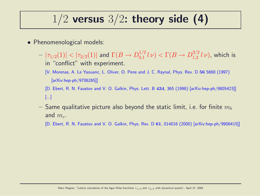# $1/2$  versus  $3/2$ : theory side (4)

- Phenomenological models:
	- $|\tau_{1/2}(1)|<|\tau_{3/2}(1)|$  and  $\Gamma(B\to D_{0,1}^{1/2})$  $\int_{0,1}^{1/2} l \nu$   $> \Gamma(B \to D_{1,2}^{3/2})$  $_{1,2}^{^{3/2}}$   $l\nu)$ , which is in "conflict" with experiment.
		- [V. Morenas, A. Le Yaouanc, L. Oliver, O. Pene and J. C. Raynal, Phys. Rev. D 56 5668 (1997) [arXiv:hep-ph/9706265]]
		- [D. Ebert, R. N. Faustov and V. O. Galkin, Phys. Lett. B 434, 365 (1998) [arXiv:hep-ph/9805423]] [...]
	- $-$  Same qualitative picture also beyond the static limit, i.e. for finite  $m_b$ and  $m_c$ .
		- [D. Ebert, R. N. Faustov and V. O. Galkin, Phys. Rev. D 61, 014016 (2000) [arXiv:hep-ph/9906415]]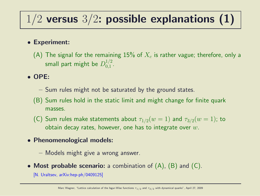# $1/2$  versus  $3/2$ : possible explanations (1)

#### • Experiment:

(A) The signal for the remaining  $15\%$  of  $X_c$  is rather vague; therefore, only a small part might be  $D_{0.1}^{1/2}$  $\frac{1}{2}$ .

#### • OPE:

- Sum rules might not be saturated by the ground states.
- (B) Sum rules hold in the static limit and might change for finite quark masses.
- (C) Sum rules make statements about  $\tau_{1/2}(w=1)$  and  $\tau_{3/2}(w=1)$ ; to obtain decay rates, however, one has to integrate over  $w$ .
- Phenomenological models:
	- Models might give a wrong answer.
- Most probable scenario: a combination of  $(A)$ ,  $(B)$  and  $(C)$ .

[N. Uraltsev, arXiv:hep-ph/0409125]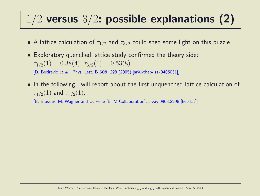# $1/2$  versus  $3/2$ : possible explanations (2)

- A lattice calculation of  $\tau_{1/2}$  and  $\tau_{3/2}$  could shed some light on this puzzle.
- Exploratory quenched lattice study confirmed the theory side:  $\tau_{1/2}(1) = 0.38(4), \tau_{3/2}(1) = 0.53(8).$

[D. Becirevic et al., Phys. Lett. B 609, 298 (2005) [arXiv:hep-lat/0406031]]

• In the following I will report about the first unquenched lattice calculation of  $\tau_{1/2}(1)$  and  $\tau_{3/2}(1)$ .

[B. Blossier, M. Wagner and O. Pene [ETM Collaboration], arXiv:0903.2298 [hep-lat]]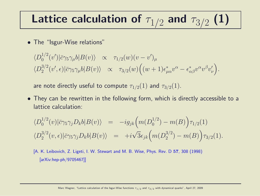# Lattice calculation of  $\tau_{1/2}$  and  $\tau_{3/2}$  (1)

• The "Isgur-Wise relations"

$$
\langle D_0^{1/2}(v')|\bar{c}\gamma_5\gamma_\mu b|B(v)\rangle \propto \tau_{1/2}(w)(v-v')_\mu
$$
  

$$
\langle D_2^{3/2}(v',\epsilon)|\bar{c}\gamma_5\gamma_\mu b|B(v)\rangle \propto \tau_{3/2}(w)\Big((w+1)\epsilon^*_{\mu\alpha}v^\alpha-\epsilon^*_{\alpha\beta}v^\alpha v^\beta v'_\nu\Big).
$$

are note directly useful to compute  $\tau_{1/2}(1)$  and  $\tau_{3/2}(1)$ .

• They can be rewritten in the following form, which is directly accessible to a lattice calculation:

$$
\langle D_0^{1/2}(v)|\bar{c}\gamma_5\gamma_j D_k b|B(v)\rangle = -ig_{jk}\Big(m(D_0^{1/2}) - m(B)\Big)\tau_{1/2}(1)
$$
  

$$
\langle D_2^{3/2}(v,\epsilon)|\bar{c}\gamma_5\gamma_j D_k b|B(v)\rangle = +i\sqrt{3}\epsilon_{jk}\Big(m(D_2^{3/2}) - m(B)\Big)\tau_{3/2}(1).
$$

[A. K. Leibovich, Z. Ligeti, I. W. Stewart and M. B. Wise, Phys. Rev. D 57, 308 (1998) [arXiv:hep-ph/9705467]]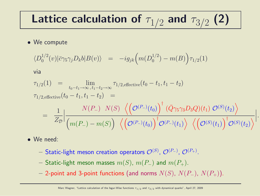# Lattice calculation of  $\tau_{1/2}$  and  $\tau_{3/2}$  (2)

#### • We compute

$$
\langle D_0^{1/2}(v) | \bar{c} \gamma_5 \gamma_j D_k b | B(v) \rangle = -ig_{jk} \Big( m(D_0^{1/2}) - m(B) \Big) \tau_{1/2}(1)
$$

via

$$
\tau_{1/2}(1) = \lim_{t_0 - t_1 \to \infty, t_1 - t_2 \to \infty} \tau_{1/2, \text{effective}}(t_0 - t_1, t_1 - t_2)
$$
\n
$$
\tau_{1/2, \text{effective}}(t_0 - t_1, t_1 - t_2) = \frac{N(P_-) N(S) \left\langle \left(\mathcal{O}^{(P_-)}(t_0)\right)^{\dagger} (\bar{Q} \gamma_5 \gamma_3 D_3 Q)(t_1) \mathcal{O}^{(S)}(t_2) \right\rangle}{Z_{\mathcal{D}}}\Big|_{\mathcal{M}(P_-) - m(S)} \frac{N(S) \left\langle \left(\mathcal{O}^{(P_-)}(t_0)\right)^{\dagger} (\bar{Q} \gamma_5 \gamma_3 D_3 Q)(t_1) \mathcal{O}^{(S)}(t_2) \right\rangle}{\left\langle \left(\mathcal{O}^{(S)}(t_1)\right)^{\dagger} \mathcal{O}^{(S)}(t_2) \right\rangle} \Big|.
$$

- We need:
	- $-$  Static-light meson creation operators  $\mathcal{O}^{(S)}$ ,  $\mathcal{O}^{(P_{-})}$ ,  $\mathcal{O}^{(P_{+})}$ .
	- Static-light meson masses  $m(S)$ ,  $m(P_{-})$  and  $m(P_{+})$ .
	- 2-point and 3-point functions (and norms  $N(S)$ ,  $N(P_+)$ ,  $N(P_+)$ ).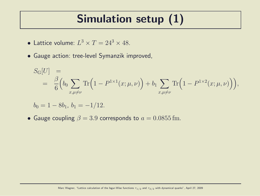# Simulation setup (1)

- Lattice volume:  $L^3 \times T = 24^3 \times 48$ .
- Gauge action: tree-level Symanzik improved,

$$
S_{\mathcal{G}}[U] = \frac{\beta}{6} \Big( b_0 \sum_{x,\mu \neq \nu} \text{Tr} \Big( 1 - P^{1 \times 1}(x; \mu, \nu) \Big) + b_1 \sum_{x,\mu \neq \nu} \text{Tr} \Big( 1 - P^{1 \times 2}(x; \mu, \nu) \Big) \Big),
$$

$$
b_0 = 1 - 8b_1, \, b_1 = -1/12.
$$

• Gauge coupling  $\beta = 3.9$  corresponds to  $a = 0.0855$  fm.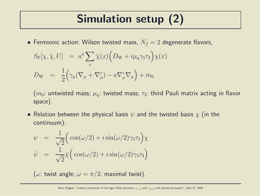# Simulation setup (2)

• Fermionic action: Wilson twisted mass,  $N_f = 2$  degenerate flavors,

$$
S_{\mathcal{F}}[\chi, \bar{\chi}, U] = a^4 \sum_{x} \bar{\chi}(x) \Big( D_{\mathcal{W}} + i \mu_{\mathcal{q}} \gamma_5 \tau_3 \Big) \chi(x)
$$
  

$$
D_{\mathcal{W}} = \frac{1}{2} \Big( \gamma_{\mu} (\nabla_{\mu} + \nabla_{\mu}^*) - a \nabla_{\mu}^* \nabla_{\mu} \Big) + m_0
$$

 $(m_0:$  untwisted mass;  $\mu_a:$  twisted mass;  $\tau_3:$  third Pauli matrix acting in flavor space).

• Relation between the physical basis  $\psi$  and the twisted basis  $\chi$  (in the continuum):

$$
\psi = \frac{1}{\sqrt{2}} \Big( \cos(\omega/2) + i \sin(\omega/2) \gamma_5 \tau_3 \Big) \chi
$$
  

$$
\bar{\psi} = \frac{1}{\sqrt{2}} \bar{\chi} \Big( \cos(\omega/2) + i \sin(\omega/2) \gamma_5 \tau_3 \Big)
$$

( $\omega$ : twist angle;  $\omega = \pi/2$ : maximal twist).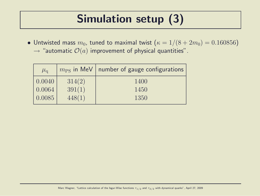# Simulation setup (3)

• Untwisted mass  $m_0$ , tuned to maximal twist  $(\kappa = 1/(8 + 2m_0) = 0.160856)$  $\rightarrow$  "automatic  $\mathcal{O}(a)$  improvement of physical quantities".

| $\mu_{\rm q}$ |        | $m_{\rm PS}$ in MeV   number of gauge configurations |
|---------------|--------|------------------------------------------------------|
| 0.0040        | 314(2) | 1400                                                 |
| 0.0064        | 391(1) | 1450                                                 |
| 0.0085        | 448(1) | 1350                                                 |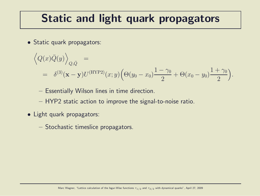# Static and light quark propagators

• Static quark propagators:

$$
\left\langle Q(x)\bar{Q}(y)\right\rangle_{Q,\bar{Q}} =
$$
  
=  $\delta^{(3)}(\mathbf{x}-\mathbf{y})U^{(\text{HYP2})}(x;y)\left(\Theta(y_0-x_0)\frac{1-\gamma_0}{2}+\Theta(x_0-y_0)\frac{1+\gamma_0}{2}\right).$ 

- Essentially Wilson lines in time direction.
- HYP2 static action to improve the signal-to-noise ratio.
- Light quark propagators:
	- Stochastic timeslice propagators.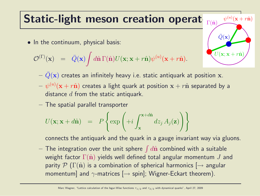# Static-light meson creation operat

• In the continuum, physical basis:

$$
\mathcal{O}^{(\Gamma)}(\mathbf{x}) = \bar{Q}(\mathbf{x}) \int d\hat{\mathbf{n}} \Gamma(\hat{\mathbf{n}}) U(\mathbf{x}; \mathbf{x} + r\hat{\mathbf{n}}) \psi^{(u)}(\mathbf{x} + r\hat{\mathbf{n}}).
$$



- $-\bar{Q}(\mathbf{x})$  creates an infinitely heavy i.e. static antiquark at position x.
- $-\;\psi^{(u)}({\bf x}+r\hat{{\bf n}})$  creates a light quark at position  ${\bf x}+r\hat{{\bf n}}$  separated by a distance  $d$  from the static antiquark.
- The spatial parallel transporter

$$
U(\mathbf{x}; \mathbf{x} + d\hat{\mathbf{n}}) = P\left\{\exp\left(+i\int_{\mathbf{x}}^{\mathbf{x} + d\hat{\mathbf{n}}} dz_j A_j(\mathbf{z})\right)\right\}
$$

connects the antiquark and the quark in a gauge invariant way via gluons.

 $-$  The integration over the unit sphere  $\int d\hat{\mathbf{n}}$  combined with a suitable weight factor  $\Gamma(\hat{\mathbf{n}})$  yields well defined total angular momentum J and parity  $\mathcal{P}(\Gamma(\hat{\mathbf{n}}))$  is a combination of spherical harmonics  $\rightarrow$  angular momentum] and  $\gamma$ -matrices  $[\rightarrow$  spin]; Wigner-Eckart theorem).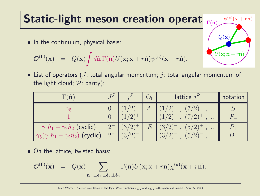# Static-light meson creation operat

• In the continuum, physical basis:

$$
\mathcal{O}^{(\Gamma)}(\mathbf{x}) = \bar{Q}(\mathbf{x}) \int d\hat{\mathbf{n}} \Gamma(\hat{\mathbf{n}}) U(\mathbf{x}; \mathbf{x} + r\hat{\mathbf{n}}) \psi^{(u)}(\mathbf{x} + r\hat{\mathbf{n}}).
$$

• List of operators (*J*: total angular momentum; *j*: total angular momentum of the light cloud;  $P:$  parity):

| $\Gamma(\hat{\mathbf{n}})$                                                                                   |                 |                                            |                  | lattice $j^{\mathcal{P}}$                                                  | notation |
|--------------------------------------------------------------------------------------------------------------|-----------------|--------------------------------------------|------------------|----------------------------------------------------------------------------|----------|
| $\gamma_5$                                                                                                   |                 | $\left( \mathcal{D}\right)$<br>$(1/2)^{+}$ | $A_{\mathbf{1}}$ | $(7/2)^{-}$<br>$(1/2)$ <sup>-</sup><br>$\cdots$<br>$(7/2)^{+}$<br>$\cdots$ |          |
| $\gamma_1\hat{n}_1 - \gamma_2\hat{n}_2$ (cyclic)<br>$\gamma_5(\gamma_1\hat{n}_1-\gamma_2\hat{n}_2)$ (cyclic) | $\mid 2^+ \mid$ | $(3/2)^{+}$<br>(3/2)                       | $E_{\parallel}$  | $(5/2)^{+}$<br>$(3/2)^{+}$<br>$\cdots$<br>(5/2)<br>(3/2)<br>$\cdots$       |          |

• On the lattice, twisted basis:

$$
\mathcal{O}^{(\Gamma)}(\mathbf{x}) = \bar{Q}(\mathbf{x}) \sum_{\mathbf{n}=\pm \hat{\mathbf{e}}_1, \pm \hat{\mathbf{e}}_2, \pm \hat{\mathbf{e}}_3} \Gamma(\hat{\mathbf{n}}) U(\mathbf{x}; \mathbf{x} + r\mathbf{n}) \chi^{(u)}(\mathbf{x} + r\mathbf{n}).
$$

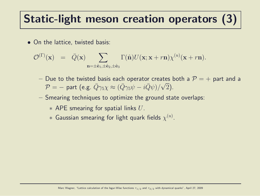# Static-light meson creation operators (3)

• On the lattice, twisted basis:

$$
\mathcal{O}^{(\Gamma)}(\mathbf{x}) = \bar{Q}(\mathbf{x}) \sum_{\mathbf{n}=\pm \hat{\mathbf{e}}_1, \pm \hat{\mathbf{e}}_2, \pm \hat{\mathbf{e}}_3} \Gamma(\hat{\mathbf{n}}) U(\mathbf{x}; \mathbf{x} + r\mathbf{n}) \chi^{(u)}(\mathbf{x} + r\mathbf{n}).
$$

- Due to the twisted basis each operator creates both a  $P = +$  part and a  $\mathcal{P} = -$  part (e.g.  $\bar{Q}\gamma_5 \chi \approx (\bar{Q}\gamma_5 \psi - i \bar{Q}\psi)/\sqrt{2}$ ).
- Smearing techniques to optimize the ground state overlaps:
	- $*$  APE smearing for spatial links  $U$ .
	- $*$  Gaussian smearing for light quark fields  $\chi^{(u)}.$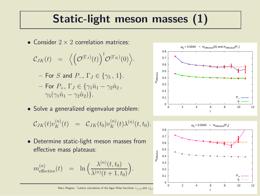# Static-light meson masses (1)

• Consider  $2 \times 2$  correlation matrices:

$$
\mathcal{C}_{JK}(t) = \langle \left(\mathcal{O}^{(\Gamma_J)}(t)\right)^{\dagger} \mathcal{O}^{(\Gamma_K)}(0)\rangle.
$$

- For S and  $P_$ ,  $\Gamma$ <sub>J</sub>  $\in$  { $\gamma$ <sub>5</sub>, 1}.
- For  $P_+$ ,  $\Gamma_J \in \{ \gamma_1 \hat{n}_1 \gamma_2 \hat{n}_2 \}$ ,  $\gamma_5(\gamma_1\hat{n}_1-\gamma_2\hat{n}_2)\}.$
- Solve a generalized eigenvalue problem:

$$
\mathcal{C}_{JK}(t) v_K^{(n)}(t) \;\; = \;\; \mathcal{C}_{JK}(t_0) v_K^{(n)}(t) \lambda^{(n)}(t,t_0).
$$

• Determine static-light meson masses from effective mass plateaus:

$$
m_{\text{effective}}^{(n)}(t) = \ln \Big( \frac{\lambda^{(n)}(t, t_0)}{\lambda^{(n)}(t+1, t_0)} \Big).
$$



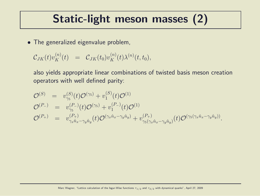### Static-light meson masses (2)

• The generalized eigenvalue problem,

$$
\mathcal{C}_{JK}(t)v_K^{(n)}(t) = \mathcal{C}_{JK}(t_0)v_K^{(n)}(t)\lambda^{(n)}(t,t_0),
$$

also yields appropriate linear combinations of twisted basis meson creation operators with well defined parity:

$$
\mathcal{O}^{(S)} = v_{\gamma_5}^{(S)}(t)\mathcal{O}^{(\gamma_5)} + v_1^{(S)}(t)\mathcal{O}^{(1)} \n\mathcal{O}^{(P_{-})} = v_{\gamma_5}^{(P_{-})}(t)\mathcal{O}^{(\gamma_5)} + v_1^{(P_{-})}(t)\mathcal{O}^{(1)} \n\mathcal{O}^{(P_{+})} = v_{\gamma_x\hat{n}_x-\gamma_y\hat{n}_y}^{(P_{+})}(t)\mathcal{O}^{(\gamma_x\hat{n}_x-\gamma_y\hat{n}_y)} + v_{\gamma_5(\gamma_x\hat{n}_x-\gamma_y\hat{n}_y)}^{(P_{+})}(t)\mathcal{O}^{(\gamma_5(\gamma_x\hat{n}_x-\gamma_y\hat{n}_y))}.
$$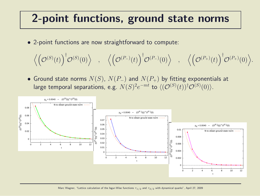### 2-point functions, ground state norms

• 2-point functions are now straightforward to compute:

$$
\Big\langle\Big(\mathcal{O}^{(S)}(t)\Big)^\dagger\mathcal{O}^{(S)}(0)\Big\rangle\quad,\quad \Big\langle\Big(\mathcal{O}^{(P_-)}(t)\Big)^\dagger\mathcal{O}^{(P_-)}(0)\Big\rangle\quad,\quad \Big\langle\Big(\mathcal{O}^{(P_+)}(t)\Big)^\dagger\mathcal{O}^{(P_+)}(0)\Big\rangle.
$$

• Ground state norms  $N(S)$ ,  $N(P_+)$  and  $N(P_+)$  by fitting exponentials at large temporal separations, e.g.  $N(S)^2e^{-mt}$  to  $\langle (\mathcal{O}^{(S)}(t))^\dagger \mathcal{O}^{(S)}(0) \rangle$ .

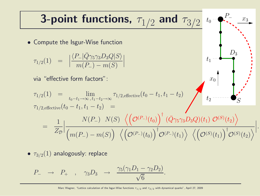**3-point functions,** 
$$
\tau_{1/2}
$$
 and  $\tau_{3/2}$  to  $P_{\tau_{\tau_{\tau_{1/2}}}}(1)$   
\n• Compute the Isgur-Wise function  
\n
$$
\tau_{1/2}(1) = \left| \frac{\langle P_{-} | \bar{Q} \gamma_{5} \gamma_{3} D_{3} Q | S \rangle}{m(P_{-}) - m(S)} \right|
$$
\nvia "effective form factors":  
\n
$$
\tau_{1/2}(1) = \lim_{t_0 - t_1 \to \infty, t_1 - t_2 \to \infty} \tau_{1/2, \text{effective}}(t_0 - t_1, t_1 - t_2)
$$
\n
$$
\tau_{1/2, \text{effective}}(t_0 - t_1, t_1 - t_2) = \frac{1}{Z_{\mathcal{D}}}\left| \frac{N(P_{-})}{(m(P_{-}) - m(S))} \left( \left( \mathcal{O}^{(P_{-})}(t_0) \right)^{\dagger} \left( \mathcal{O}^{\gamma_{5}} \gamma_{3} D_{3} Q \right)(t_1) \mathcal{O}^{(S)}(t_2) \right) \right|
$$

•  $\tau_{3/2}(1)$  analogously: replace

$$
P_- \rightarrow P_+ , \quad \gamma_3 D_3 \rightarrow \frac{\gamma_5(\gamma_1 D_1 - \gamma_2 D_2)}{\sqrt{6}}.
$$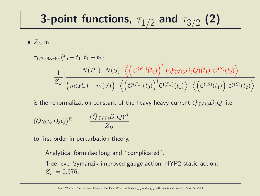# 3-point functions,  $\tau_{1/2}$  and  $\tau_{3/2}$  (2)

•  $Z_D$  in

$$
\tau_{1/2, \text{effective}}(t_0 - t_1, t_1 - t_2) =
$$
\n
$$
= \frac{1}{Z_{\mathcal{D}}} \Big| \frac{N(P_{-}) \ N(S) \ \left\langle \left(\mathcal{O}^{(P_{-})}(t_0)\right)^{\dagger} (\bar{Q} \gamma_5 \gamma_3 D_3 Q)(t_1) \ \mathcal{O}^{(S)}(t_2) \right\rangle}{\left(m(P_{-}) - m(S)\right) \ \left\langle \left(\mathcal{O}^{(P_{-})}(t_0)\right)^{\dagger} \mathcal{O}^{(P_{-})}(t_1) \right\rangle \ \left\langle \left(\mathcal{O}^{(S)}(t_1)\right)^{\dagger} \mathcal{O}^{(S)}(t_2) \right\rangle} \Big|.
$$

is the renormalization constant of the heavy-heavy current  $\bar{Q}\gamma_5\gamma_3D_3Q$ , i.e.

$$
(\bar{Q}\gamma_5\gamma_3D_3Q)^R = \frac{(\bar{Q}\gamma_5\gamma_3D_3Q)^B}{Z_D},
$$

to first order in perturbation theory.

- Analytical formulae long and "complicated".
- Tree-level Symanzik improved gauge action, HYP2 static action:  $Z_D = 0.976$ .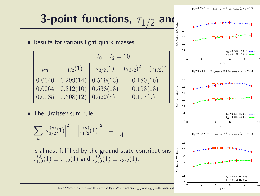# 3-point functions,  $\tau_{1/2}$  and  $\frac{1}{2}$  and  $\frac{1}{2}$

• Results for various light quark masses:

|               | $t_0 - t_2 = 10$                                    |                 |                                 |  |  |  |
|---------------|-----------------------------------------------------|-----------------|---------------------------------|--|--|--|
| $\mu_{\rm q}$ | $\tau_{1/2}(1)$                                     | $\tau_{3/2}(1)$ | $(\tau_{3/2})^2-(\tau_{1/2})^2$ |  |  |  |
|               | $0.0040$ 0.299(14)                                  | 0.519(13)       | 0.180(16)                       |  |  |  |
|               | $0.0064$ 0.312(10)                                  | 0.538(13)       | 0.193(13)                       |  |  |  |
|               | $\vert 0.0085 \vert \vert 0.308(12) \vert 0.522(8)$ |                 | 0.177(9)                        |  |  |  |

• The Uraltsev sum rule,

$$
\sum_{n} \left| \tau_{3/2}^{(n)}(1) \right|^2 - \left| \tau_{1/2}^{(n)}(1) \right|^2 = \frac{1}{4},
$$

is almost fulfilled by the ground state contributions  $\tau^{(0)}_{1/2}$  $\tau^{(0)}_{1/2}(1) \equiv \tau_{1/2}(1)$  and  $\tau^{(0)}_{3/2}$  $T^{(0)}_{3/2}(1) \equiv \tau_{3/2}(1).$ 



Marc Wagner, "Lattice calculation of the Isgur-Wise functions  $\tau_{1/2}$  and  $\tau_{3/2}$  with dynamical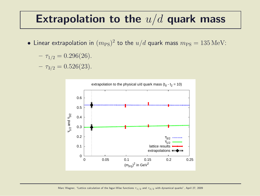#### Extrapolation to the  $u/d$  quark mass

• Linear extrapolation in  $(m_{\rm PS})^2$  to the  $u/d$  quark mass  $m_{\rm PS} = 135\,{\rm MeV}$ :

$$
- \tau_{1/2} = 0.296(26).
$$

 $- \tau_{3/2} = 0.526(23)$ .

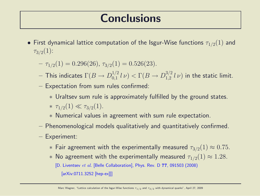### **Conclusions**

- First dynamical lattice computation of the Isgur-Wise functions  $\tau_{1/2}(1)$  and  $\tau_{3/2}(1)$ :
	- $-\tau_{1/2}(1) = 0.296(26), \tau_{3/2}(1) = 0.526(23).$
	- $-$  This indicates  $\Gamma(B\to D^{1/2}_{0,1})$  $\int_{0,1}^{1/2} l \nu$   $\triangleright$   $\Gamma(B \to D_{1,2}^{3/2})$  $_{1,2}^{3/2}$   $l\nu$ ) in the static limit.
	- Expectation from sum rules confirmed:
		- ∗ Uraltsev sum rule is approximately fulfilled by the ground states. \*  $\tau_{1/2}(1) \ll \tau_{3/2}(1)$ .
		- ∗ Numerical values in agreement with sum rule expectation.
	- Phenomenological models qualitatively and quantitatively confirmed.
	- Experiment:
		- $*$  Fair agreement with the experimentally measured  $\tau_{3/2}(1) \approx 0.75$ .
		- $∗$  No agreement with the experimentally measured  $\tau_{1/2}(1) \approx 1.28$ .
			- [D. Liventsev et al. [Belle Collaboration], Phys. Rev. D 77, 091503 (2008)
				- [arXiv:0711.3252 [hep-ex]]]